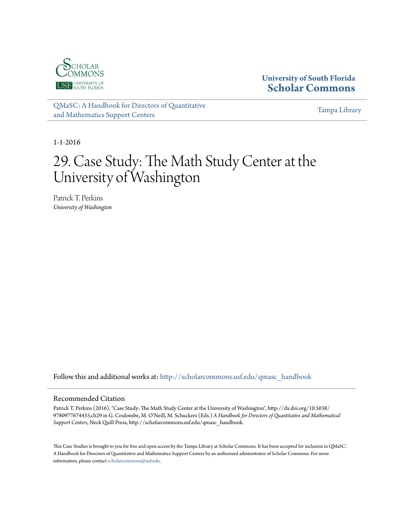

### **University of South Florida [Scholar Commons](http://scholarcommons.usf.edu?utm_source=scholarcommons.usf.edu%2Fqmasc_handbook%2F29&utm_medium=PDF&utm_campaign=PDFCoverPages)**

[QMaSC: A Handbook for Directors of Quantitative](http://scholarcommons.usf.edu/qmasc_handbook?utm_source=scholarcommons.usf.edu%2Fqmasc_handbook%2F29&utm_medium=PDF&utm_campaign=PDFCoverPages) [and Mathematics Support Centers](http://scholarcommons.usf.edu/qmasc_handbook?utm_source=scholarcommons.usf.edu%2Fqmasc_handbook%2F29&utm_medium=PDF&utm_campaign=PDFCoverPages)

[Tampa Library](http://scholarcommons.usf.edu/tlib?utm_source=scholarcommons.usf.edu%2Fqmasc_handbook%2F29&utm_medium=PDF&utm_campaign=PDFCoverPages)

1-1-2016

# 29. Case Study: The Math Study Center at the University of Washington

Patrick T. Perkins *University of Washington*

Follow this and additional works at: [http://scholarcommons.usf.edu/qmasc\\_handbook](http://scholarcommons.usf.edu/qmasc_handbook?utm_source=scholarcommons.usf.edu%2Fqmasc_handbook%2F29&utm_medium=PDF&utm_campaign=PDFCoverPages)

#### Recommended Citation

Patrick T. Perkins (2016), "Case Study: The Math Study Center at the University of Washington", http://dx.doi.org/10.5038/ 9780977674435.ch29 in G. Coulombe, M. O'Neill, M. Schuckers (Eds.) *A Handbook for Directors of Quantitative and Mathematical Support Centers*, Neck Quill Press, http://scholarcommons.usf.edu/qmasc\_handbook.

This Case Studies is brought to you for free and open access by the Tampa Library at Scholar Commons. It has been accepted for inclusion in QMaSC: A Handbook for Directors of Quantitative and Mathematics Support Centers by an authorized administrator of Scholar Commons. For more information, please contact [scholarcommons@usf.edu.](mailto:scholarcommons@usf.edu)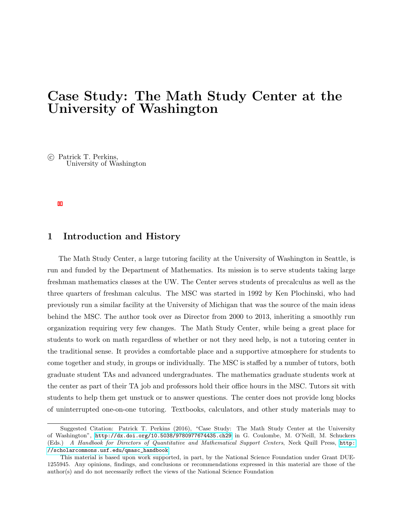# Case Study: The Math Study Center at the University of Washington

 c Patrick T. Perkins, University of Washington

#### 1 Introduction and History

The Math Study Center, a large tutoring facility at the University of Washington in Seattle, is run and funded by the Department of Mathematics. Its mission is to serve students taking large freshman mathematics classes at the UW. The Center serves students of precalculus as well as the three quarters of freshman calculus. The MSC was started in 1992 by Ken Plochinski, who had previously run a similar facility at the University of Michigan that was the source of the main ideas behind the MSC. The author took over as Director from 2000 to 2013, inheriting a smoothly run organization requiring very few changes. The Math Study Center, while being a great place for students to work on math regardless of whether or not they need help, is not a tutoring center in the traditional sense. It provides a comfortable place and a supportive atmosphere for students to come together and study, in groups or individually. The MSC is staffed by a number of tutors, both graduate student TAs and advanced undergraduates. The mathematics graduate students work at the center as part of their TA job and professors hold their office hours in the MSC. Tutors sit with students to help them get unstuck or to answer questions. The center does not provide long blocks of uninterrupted one-on-one tutoring. Textbooks, calculators, and other study materials may to

Suggested Citation: Patrick T. Perkins (2016), "Case Study: The Math Study Center at the University of Washington", <http://dx.doi.org/10.5038/9780977674435.ch29> in G. Coulombe, M. O'Neill, M. Schuckers (Eds.) A Handbook for Directors of Quantitative and Mathematical Support Centers, Neck Quill Press, [http:](http://scholarcommons.usf.edu/qmasc_handbook) [//scholarcommons.usf.edu/qmasc\\_handbook](http://scholarcommons.usf.edu/qmasc_handbook).

This material is based upon work supported, in part, by the National Science Foundation under Grant DUE-1255945. Any opinions, findings, and conclusions or recommendations expressed in this material are those of the author(s) and do not necessarily reflect the views of the National Science Foundation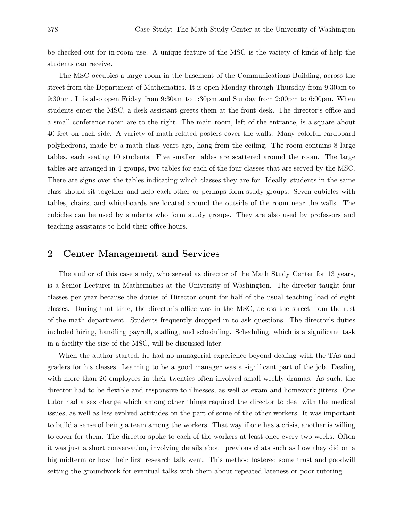be checked out for in-room use. A unique feature of the MSC is the variety of kinds of help the students can receive.

The MSC occupies a large room in the basement of the Communications Building, across the street from the Department of Mathematics. It is open Monday through Thursday from 9:30am to 9:30pm. It is also open Friday from 9:30am to 1:30pm and Sunday from 2:00pm to 6:00pm. When students enter the MSC, a desk assistant greets them at the front desk. The director's office and a small conference room are to the right. The main room, left of the entrance, is a square about 40 feet on each side. A variety of math related posters cover the walls. Many colorful cardboard polyhedrons, made by a math class years ago, hang from the ceiling. The room contains 8 large tables, each seating 10 students. Five smaller tables are scattered around the room. The large tables are arranged in 4 groups, two tables for each of the four classes that are served by the MSC. There are signs over the tables indicating which classes they are for. Ideally, students in the same class should sit together and help each other or perhaps form study groups. Seven cubicles with tables, chairs, and whiteboards are located around the outside of the room near the walls. The cubicles can be used by students who form study groups. They are also used by professors and teaching assistants to hold their office hours.

#### 2 Center Management and Services

The author of this case study, who served as director of the Math Study Center for 13 years, is a Senior Lecturer in Mathematics at the University of Washington. The director taught four classes per year because the duties of Director count for half of the usual teaching load of eight classes. During that time, the director's office was in the MSC, across the street from the rest of the math department. Students frequently dropped in to ask questions. The director's duties included hiring, handling payroll, staffing, and scheduling. Scheduling, which is a significant task in a facility the size of the MSC, will be discussed later.

When the author started, he had no managerial experience beyond dealing with the TAs and graders for his classes. Learning to be a good manager was a significant part of the job. Dealing with more than 20 employees in their twenties often involved small weekly dramas. As such, the director had to be flexible and responsive to illnesses, as well as exam and homework jitters. One tutor had a sex change which among other things required the director to deal with the medical issues, as well as less evolved attitudes on the part of some of the other workers. It was important to build a sense of being a team among the workers. That way if one has a crisis, another is willing to cover for them. The director spoke to each of the workers at least once every two weeks. Often it was just a short conversation, involving details about previous chats such as how they did on a big midterm or how their first research talk went. This method fostered some trust and goodwill setting the groundwork for eventual talks with them about repeated lateness or poor tutoring.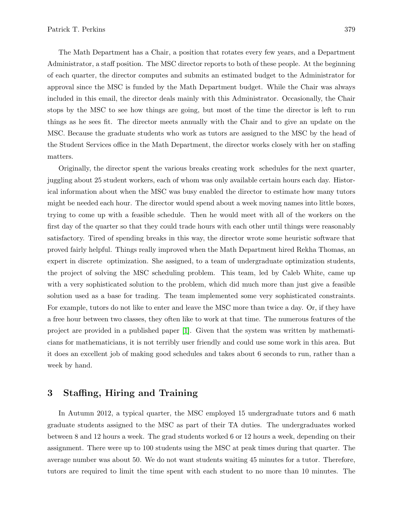The Math Department has a Chair, a position that rotates every few years, and a Department Administrator, a staff position. The MSC director reports to both of these people. At the beginning of each quarter, the director computes and submits an estimated budget to the Administrator for approval since the MSC is funded by the Math Department budget. While the Chair was always included in this email, the director deals mainly with this Administrator. Occasionally, the Chair stops by the MSC to see how things are going, but most of the time the director is left to run things as he sees fit. The director meets annually with the Chair and to give an update on the MSC. Because the graduate students who work as tutors are assigned to the MSC by the head of the Student Services office in the Math Department, the director works closely with her on staffing matters.

Originally, the director spent the various breaks creating work schedules for the next quarter, juggling about 25 student workers, each of whom was only available certain hours each day. Historical information about when the MSC was busy enabled the director to estimate how many tutors might be needed each hour. The director would spend about a week moving names into little boxes, trying to come up with a feasible schedule. Then he would meet with all of the workers on the first day of the quarter so that they could trade hours with each other until things were reasonably satisfactory. Tired of spending breaks in this way, the director wrote some heuristic software that proved fairly helpful. Things really improved when the Math Department hired Rekha Thomas, an expert in discrete optimization. She assigned, to a team of undergraduate optimization students, the project of solving the MSC scheduling problem. This team, led by Caleb White, came up with a very sophisticated solution to the problem, which did much more than just give a feasible solution used as a base for trading. The team implemented some very sophisticated constraints. For example, tutors do not like to enter and leave the MSC more than twice a day. Or, if they have a free hour between two classes, they often like to work at that time. The numerous features of the project are provided in a published paper [1]. Given that the system was written by mathematicians for mathematicians, it is not terribly user friendly and could use some work in this area. But it does an excellent job of making good schedules and takes about 6 seconds to run, rather than a week by hand.

#### 3 Staffing, Hiring and Training

In Autumn 2012, a typical quarter, the MSC employed 15 undergraduate tutors and 6 math graduate students assigned to the MSC as part of their TA duties. The undergraduates worked between 8 and 12 hours a week. The grad students worked 6 or 12 hours a week, depending on their assignment. There were up to 100 students using the MSC at peak times during that quarter. The average number was about 50. We do not want students waiting 45 minutes for a tutor. Therefore, tutors are required to limit the time spent with each student to no more than 10 minutes. The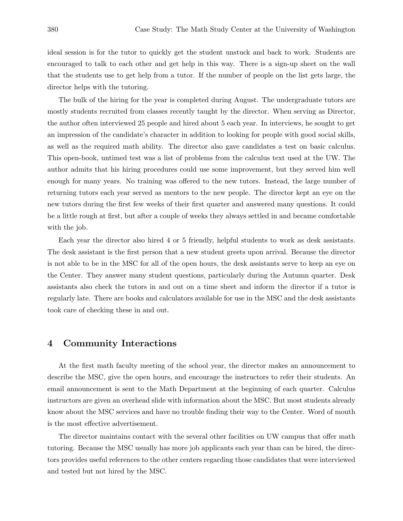ideal session is for the tutor to quickly get the student unstuck and back to work. Students are encouraged to talk to each other and get help in this way. There is a sign-up sheet on the wall that the students use to get help from a tutor. If the number of people on the list gets large, the director helps with the tutoring.

The bulk of the hiring for the year is completed during August. The undergraduate tutors are mostly students recruited from classes recently taught by the director. When serving as Director, the author often interviewed 25 people and hired about 5 each year. In interviews, he sought to get an impression of the candidate's character in addition to looking for people with good social skills, as well as the required math ability. The director also gave candidates a test on basic calculus. This open-book, untimed test was a list of problems from the calculus text used at the UW. The author admits that his hiring procedures could use some improvement, but they served him well enough for many years. No training was offered to the new tutors. Instead, the large number of returning tutors each year served as mentors to the new people. The director kept an eye on the new tutors during the first few weeks of their first quarter and answered many questions. It could be a little rough at first, but after a couple of weeks they always settled in and became comfortable with the job.

Each year the director also hired 4 or 5 friendly, helpful students to work as desk assistants. The desk assistant is the first person that a new student greets upon arrival. Because the director is not able to be in the MSC for all of the open hours, the desk assistants serve to keep an eye on the Center. They answer many student questions, particularly during the Autumn quarter. Desk assistants also check the tutors in and out on a time sheet and inform the director if a tutor is regularly late. There are books and calculators available for use in the MSC and the desk assistants took care of checking these in and out.

#### 4 Community Interactions

At the first math faculty meeting of the school year, the director makes an announcement to describe the MSC, give the open hours, and encourage the instructors to refer their students. An email announcement is sent to the Math Department at the beginning of each quarter. Calculus instructors are given an overhead slide with information about the MSC. But most students already know about the MSC services and have no trouble finding their way to the Center. Word of mouth is the most effective advertisement.

The director maintains contact with the several other facilities on UW campus that offer math tutoring. Because the MSC usually has more job applicants each year than can be hired, the directors provides useful references to the other centers regarding those candidates that were interviewed and tested but not hired by the MSC.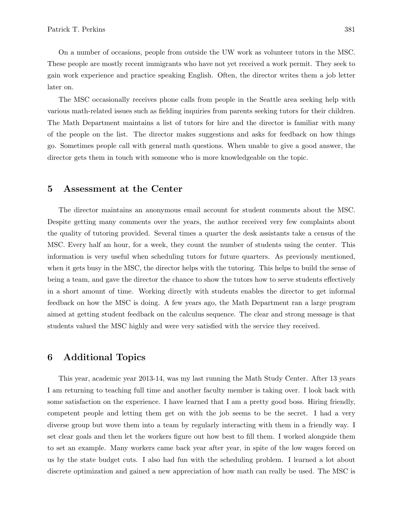On a number of occasions, people from outside the UW work as volunteer tutors in the MSC. These people are mostly recent immigrants who have not yet received a work permit. They seek to gain work experience and practice speaking English. Often, the director writes them a job letter later on.

The MSC occasionally receives phone calls from people in the Seattle area seeking help with various math-related issues such as fielding inquiries from parents seeking tutors for their children. The Math Department maintains a list of tutors for hire and the director is familiar with many of the people on the list. The director makes suggestions and asks for feedback on how things go. Sometimes people call with general math questions. When unable to give a good answer, the director gets them in touch with someone who is more knowledgeable on the topic.

#### 5 Assessment at the Center

The director maintains an anonymous email account for student comments about the MSC. Despite getting many comments over the years, the author received very few complaints about the quality of tutoring provided. Several times a quarter the desk assistants take a census of the MSC. Every half an hour, for a week, they count the number of students using the center. This information is very useful when scheduling tutors for future quarters. As previously mentioned, when it gets busy in the MSC, the director helps with the tutoring. This helps to build the sense of being a team, and gave the director the chance to show the tutors how to serve students effectively in a short amount of time. Working directly with students enables the director to get informal feedback on how the MSC is doing. A few years ago, the Math Department ran a large program aimed at getting student feedback on the calculus sequence. The clear and strong message is that students valued the MSC highly and were very satisfied with the service they received.

#### 6 Additional Topics

This year, academic year 2013-14, was my last running the Math Study Center. After 13 years I am returning to teaching full time and another faculty member is taking over. I look back with some satisfaction on the experience. I have learned that I am a pretty good boss. Hiring friendly, competent people and letting them get on with the job seems to be the secret. I had a very diverse group but wove them into a team by regularly interacting with them in a friendly way. I set clear goals and then let the workers figure out how best to fill them. I worked alongside them to set an example. Many workers came back year after year, in spite of the low wages forced on us by the state budget cuts. I also had fun with the scheduling problem. I learned a lot about discrete optimization and gained a new appreciation of how math can really be used. The MSC is